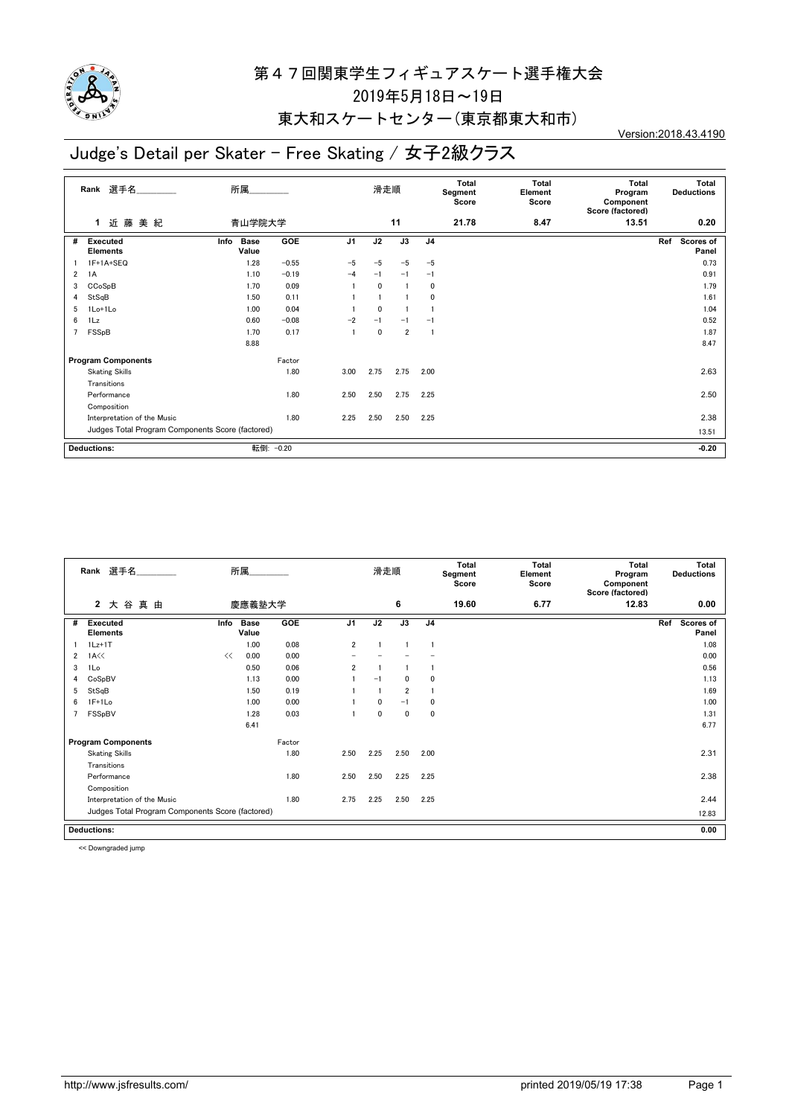

#### 東大和スケートセンター(東京都東大和市)

## Judge's Detail per Skater - Free Skating / 女子2級クラス

Version:2018.43.4190

|   | Rank 選手名                                         | 所属                           |         |                | 滑走順          |                 |                | <b>Total</b><br>Segment<br>Score | <b>Total</b><br>Element<br>Score | <b>Total</b><br>Program<br>Component<br>Score (factored) | Total<br><b>Deductions</b> |
|---|--------------------------------------------------|------------------------------|---------|----------------|--------------|-----------------|----------------|----------------------------------|----------------------------------|----------------------------------------------------------|----------------------------|
|   | 藤<br>近<br>美 紀<br>1                               | 青山学院大学                       |         |                |              | 11              |                | 21.78                            | 8.47                             | 13.51                                                    | 0.20                       |
| # | <b>Executed</b><br><b>Elements</b>               | <b>Base</b><br>Info<br>Value | GOE     | J <sub>1</sub> | J2           | $\overline{J3}$ | J <sub>4</sub> |                                  |                                  |                                                          | Ref<br>Scores of<br>Panel  |
|   | 1F+1A+SEQ                                        | 1.28                         | $-0.55$ | $-5$           | $-5$         | $-5$            | $-5$           |                                  |                                  |                                                          | 0.73                       |
| 2 | 1A                                               | 1.10                         | $-0.19$ | $-4$           | $-1$         | $-1$            | $-1$           |                                  |                                  |                                                          | 0.91                       |
| 3 | CCoSpB                                           | 1.70                         | 0.09    |                | 0            |                 | 0              |                                  |                                  |                                                          | 1.79                       |
| 4 | StSqB                                            | 1.50                         | 0.11    |                |              |                 | 0              |                                  |                                  |                                                          | 1.61                       |
| 5 | 1Lo+1Lo                                          | 1.00                         | 0.04    |                | $\mathbf{0}$ |                 |                |                                  |                                  |                                                          | 1.04                       |
| 6 | 1Lz                                              | 0.60                         | $-0.08$ | $-2$           | $-1$         | $-1$            | $-1$           |                                  |                                  |                                                          | 0.52                       |
| 7 | FSSpB                                            | 1.70                         | 0.17    |                | 0            | $\overline{2}$  |                |                                  |                                  |                                                          | 1.87                       |
|   |                                                  | 8.88                         |         |                |              |                 |                |                                  |                                  |                                                          | 8.47                       |
|   | <b>Program Components</b>                        |                              | Factor  |                |              |                 |                |                                  |                                  |                                                          |                            |
|   | <b>Skating Skills</b>                            |                              | 1.80    | 3.00           | 2.75         | 2.75            | 2.00           |                                  |                                  |                                                          | 2.63                       |
|   | Transitions                                      |                              |         |                |              |                 |                |                                  |                                  |                                                          |                            |
|   | Performance                                      |                              | 1.80    | 2.50           | 2.50         | 2.75            | 2.25           |                                  |                                  |                                                          | 2.50                       |
|   | Composition                                      |                              |         |                |              |                 |                |                                  |                                  |                                                          |                            |
|   | Interpretation of the Music                      |                              | 1.80    | 2.25           | 2.50         | 2.50            | 2.25           |                                  |                                  |                                                          | 2.38                       |
|   | Judges Total Program Components Score (factored) |                              |         |                |              |                 |                |                                  |                                  |                                                          | 13.51                      |
|   | <b>Deductions:</b>                               | 転倒:                          | $-0.20$ |                |              |                 |                |                                  |                                  |                                                          | $-0.20$                    |

|   | Rank 選手名                                                  |      | 所属                   |        |                | 滑走順          |                |                | <b>Total</b><br>Segment<br>Score | <b>Total</b><br>Element<br>Score | Total<br>Program<br>Component<br>Score (factored) | Total<br><b>Deductions</b>       |  |
|---|-----------------------------------------------------------|------|----------------------|--------|----------------|--------------|----------------|----------------|----------------------------------|----------------------------------|---------------------------------------------------|----------------------------------|--|
|   | $\mathbf{2}$<br>大谷<br>真由                                  |      | 慶應義塾大学               |        |                |              | 6              |                | 19.60                            | 6.77                             | 12.83                                             | 0.00                             |  |
| # | Executed<br><b>Elements</b>                               | Info | <b>Base</b><br>Value | GOE    | J <sub>1</sub> | J2           | J3             | J <sub>4</sub> |                                  |                                  |                                                   | Ref<br><b>Scores of</b><br>Panel |  |
|   | $1Lz+1T$                                                  |      | 1.00                 | 0.08   | $\overline{2}$ |              |                |                |                                  |                                  |                                                   | 1.08                             |  |
| 2 | $1A<\langle$                                              | <<   | 0.00                 | 0.00   |                |              |                |                |                                  |                                  |                                                   | 0.00                             |  |
| 3 | 1Lo                                                       |      | 0.50                 | 0.06   | $\overline{2}$ |              |                |                |                                  |                                  |                                                   | 0.56                             |  |
| 4 | CoSpBV                                                    |      | 1.13                 | 0.00   |                | $-1$         | $\mathbf{0}$   | 0              |                                  |                                  |                                                   | 1.13                             |  |
| 5 | StSqB                                                     |      | 1.50                 | 0.19   |                |              | $\overline{2}$ |                |                                  |                                  |                                                   | 1.69                             |  |
| 6 | $1F+1Lo$                                                  |      | 1.00                 | 0.00   |                | $\mathbf{0}$ | $-1$           | 0              |                                  |                                  |                                                   | 1.00                             |  |
|   | FSSpBV                                                    |      | 1.28                 | 0.03   |                | $\mathbf{0}$ | $\mathbf 0$    | $\mathbf 0$    |                                  |                                  |                                                   | 1.31                             |  |
|   |                                                           |      | 6.41                 |        |                |              |                |                |                                  |                                  |                                                   | 6.77                             |  |
|   | <b>Program Components</b>                                 |      |                      | Factor |                |              |                |                |                                  |                                  |                                                   |                                  |  |
|   | <b>Skating Skills</b>                                     |      |                      | 1.80   | 2.50           | 2.25         | 2.50           | 2.00           |                                  |                                  |                                                   | 2.31                             |  |
|   | Transitions                                               |      |                      |        |                |              |                |                |                                  |                                  |                                                   |                                  |  |
|   | Performance                                               |      |                      | 1.80   | 2.50           | 2.50         | 2.25           | 2.25           |                                  |                                  |                                                   | 2.38                             |  |
|   | Composition                                               |      |                      |        |                |              |                |                |                                  |                                  |                                                   |                                  |  |
|   | Interpretation of the Music                               |      |                      | 1.80   | 2.75           | 2.25         | 2.50           | 2.25           |                                  |                                  |                                                   | 2.44                             |  |
|   | Judges Total Program Components Score (factored)<br>12.83 |      |                      |        |                |              |                |                |                                  |                                  |                                                   |                                  |  |
|   | <b>Deductions:</b>                                        |      |                      |        |                |              |                |                |                                  |                                  |                                                   | 0.00                             |  |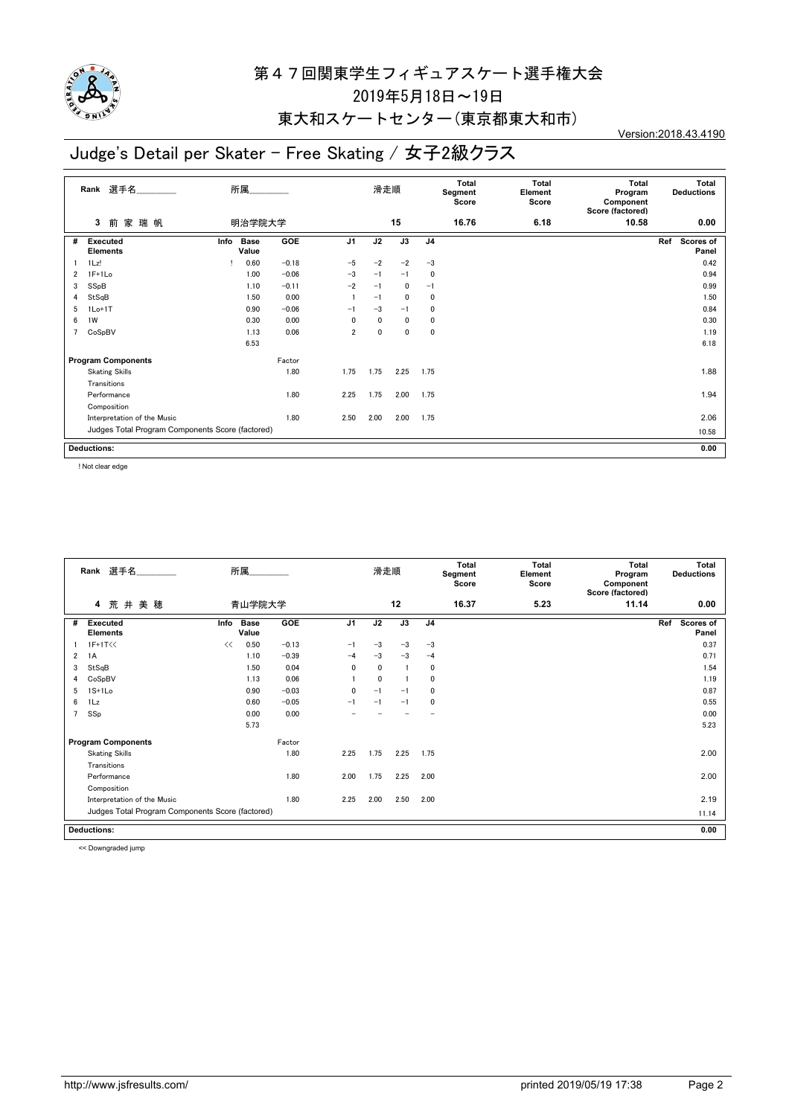

#### 東大和スケートセンター(東京都東大和市)

## Judge's Detail per Skater - Free Skating / 女子2級クラス

Version:2018.43.4190

|                | Rank 選手名                                         |      | 所属                   |         |                | 滑走順          |      |                | <b>Total</b><br>Segment<br>Score | <b>Total</b><br>Element<br>Score | <b>Total</b><br>Program<br>Component<br>Score (factored) |     | Total<br><b>Deductions</b> |
|----------------|--------------------------------------------------|------|----------------------|---------|----------------|--------------|------|----------------|----------------------------------|----------------------------------|----------------------------------------------------------|-----|----------------------------|
|                | 前<br>3<br>家 瑞 帆                                  |      | 明治学院大学               |         |                |              | 15   |                | 16.76                            | 6.18                             | 10.58                                                    |     | 0.00                       |
| #              | <b>Executed</b><br><b>Elements</b>               | Info | <b>Base</b><br>Value | GOE     | J <sub>1</sub> | J2           | J3   | J <sub>4</sub> |                                  |                                  |                                                          | Ref | Scores of<br>Panel         |
|                | $1$ Lz!                                          |      | 0.60                 | $-0.18$ | $-5$           | $-2$         | $-2$ | $-3$           |                                  |                                  |                                                          |     | 0.42                       |
| 2              | $1F+1Lo$                                         |      | 1.00                 | $-0.06$ | $-3$           | $-1$         | $-1$ | 0              |                                  |                                  |                                                          |     | 0.94                       |
| 3              | SSpB                                             |      | 1.10                 | $-0.11$ | $-2$           | $-1$         | 0    | $-1$           |                                  |                                  |                                                          |     | 0.99                       |
| 4              | StSqB                                            |      | 1.50                 | 0.00    |                | $-1$         | 0    | $\mathbf{0}$   |                                  |                                  |                                                          |     | 1.50                       |
| 5              | $1Lo+1T$                                         |      | 0.90                 | $-0.06$ | $-1$           | $-3$         | $-1$ | 0              |                                  |                                  |                                                          |     | 0.84                       |
| 6              | 1W                                               |      | 0.30                 | 0.00    | 0              | $\mathbf{0}$ | 0    | 0              |                                  |                                  |                                                          |     | 0.30                       |
| $\overline{7}$ | CoSpBV                                           |      | 1.13                 | 0.06    | $\overline{2}$ | $\mathbf{0}$ | 0    | 0              |                                  |                                  |                                                          |     | 1.19                       |
|                |                                                  |      | 6.53                 |         |                |              |      |                |                                  |                                  |                                                          |     | 6.18                       |
|                | <b>Program Components</b>                        |      |                      | Factor  |                |              |      |                |                                  |                                  |                                                          |     |                            |
|                | <b>Skating Skills</b>                            |      |                      | 1.80    | 1.75           | 1.75         | 2.25 | 1.75           |                                  |                                  |                                                          |     | 1.88                       |
|                | Transitions                                      |      |                      |         |                |              |      |                |                                  |                                  |                                                          |     |                            |
|                | Performance                                      |      |                      | 1.80    | 2.25           | 1.75         | 2.00 | 1.75           |                                  |                                  |                                                          |     | 1.94                       |
|                | Composition                                      |      |                      |         |                |              |      |                |                                  |                                  |                                                          |     |                            |
|                | Interpretation of the Music                      |      |                      | 1.80    | 2.50           | 2.00         | 2.00 | 1.75           |                                  |                                  |                                                          |     | 2.06                       |
|                | Judges Total Program Components Score (factored) |      |                      |         |                |              |      |                |                                  |                                  |                                                          |     | 10.58                      |
|                | <b>Deductions:</b>                               |      |                      |         |                |              |      |                |                                  |                                  |                                                          |     | 0.00                       |

! Not clear edge

|   | Rank 選手名                                         |      | 所属                   |         |                | 滑走順          |                |                | Total<br>Segment<br>Score | <b>Total</b><br>Element<br>Score | Total<br>Program<br>Component<br>Score (factored) | Total<br><b>Deductions</b> |
|---|--------------------------------------------------|------|----------------------|---------|----------------|--------------|----------------|----------------|---------------------------|----------------------------------|---------------------------------------------------|----------------------------|
|   | 荒井美穂<br>4                                        |      | 青山学院大学               |         |                |              | 12             |                | 16.37                     | 5.23                             | 11.14                                             | 0.00                       |
| # | <b>Executed</b><br>Elements                      | Info | <b>Base</b><br>Value | GOE     | J <sub>1</sub> | J2           | J3             | J <sub>4</sub> |                           |                                  |                                                   | Scores of<br>Ref<br>Panel  |
|   | $1F+1T<<$                                        | <<   | 0.50                 | $-0.13$ | $-1$           | $-3$         | $-3$           | $-3$           |                           |                                  |                                                   | 0.37                       |
| 2 | 1A                                               |      | 1.10                 | $-0.39$ | $-4$           | $-3$         | $-3$           | $-4$           |                           |                                  |                                                   | 0.71                       |
| 3 | StSqB                                            |      | 1.50                 | 0.04    | $\mathbf{0}$   | 0            | $\overline{1}$ | 0              |                           |                                  |                                                   | 1.54                       |
|   | CoSpBV                                           |      | 1.13                 | 0.06    |                | $\mathbf{0}$ | $\overline{1}$ | 0              |                           |                                  |                                                   | 1.19                       |
| 5 | $1S+1Lo$                                         |      | 0.90                 | $-0.03$ | $\mathbf{0}$   | $-1$         | $-1$           | 0              |                           |                                  |                                                   | 0.87                       |
| 6 | 1Lz                                              |      | 0.60                 | $-0.05$ | $-1$           | $-1$         | $-1$           | 0              |                           |                                  |                                                   | 0.55                       |
|   | SSp                                              |      | 0.00                 | 0.00    |                |              |                |                |                           |                                  |                                                   | 0.00                       |
|   |                                                  |      | 5.73                 |         |                |              |                |                |                           |                                  |                                                   | 5.23                       |
|   | <b>Program Components</b>                        |      |                      | Factor  |                |              |                |                |                           |                                  |                                                   |                            |
|   | <b>Skating Skills</b>                            |      |                      | 1.80    | 2.25           | 1.75         | 2.25           | 1.75           |                           |                                  |                                                   | 2.00                       |
|   | Transitions                                      |      |                      |         |                |              |                |                |                           |                                  |                                                   |                            |
|   | Performance                                      |      |                      | 1.80    | 2.00           | 1.75         | 2.25           | 2.00           |                           |                                  |                                                   | 2.00                       |
|   | Composition                                      |      |                      |         |                |              |                |                |                           |                                  |                                                   |                            |
|   | Interpretation of the Music                      |      |                      | 1.80    | 2.25           | 2.00         | 2.50           | 2.00           |                           |                                  |                                                   | 2.19                       |
|   | Judges Total Program Components Score (factored) |      |                      |         |                |              |                |                |                           |                                  |                                                   | 11.14                      |
|   | <b>Deductions:</b>                               |      |                      |         |                |              |                |                |                           |                                  |                                                   | 0.00                       |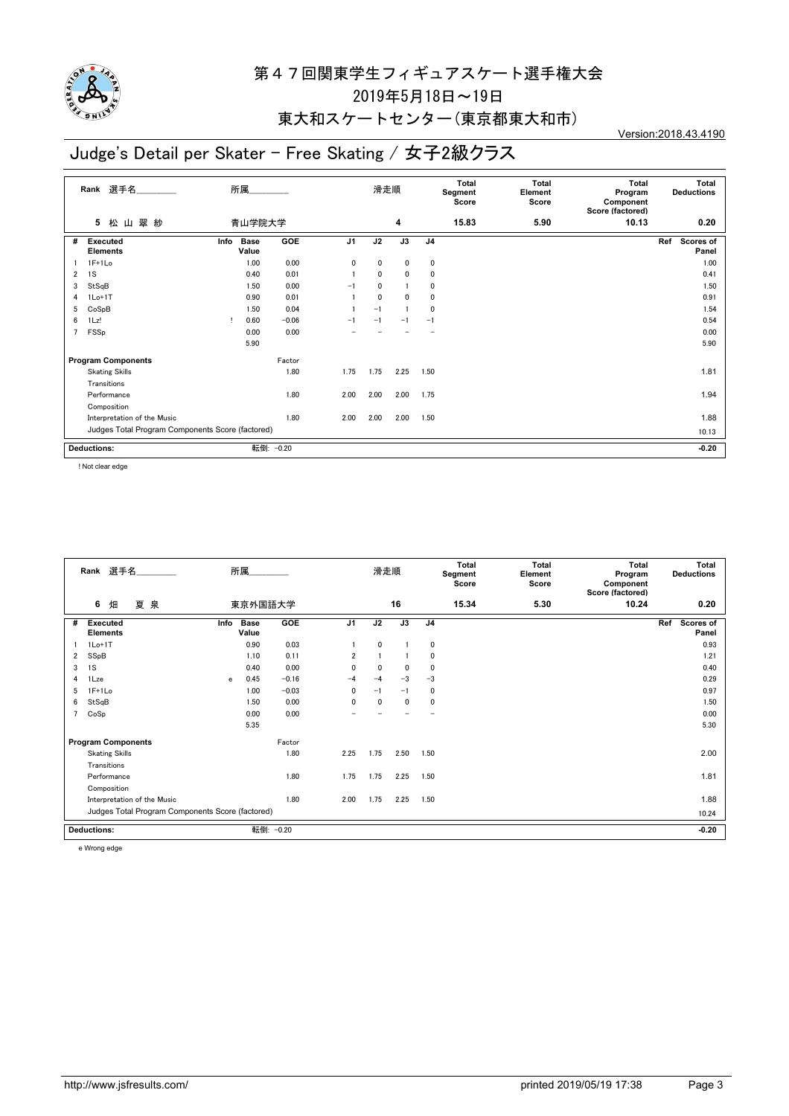

#### 東大和スケートセンター(東京都東大和市)

## Judge's Detail per Skater - Free Skating / 女子2級クラス

Version:2018.43.4190

|                | 選手名<br>Rank                                      | 所属                           |            |                | 滑走順          |              |                | Total<br>Segment<br>Score | <b>Total</b><br>Element<br>Score | <b>Total</b><br>Program<br>Component<br>Score (factored) | Total<br><b>Deductions</b> |
|----------------|--------------------------------------------------|------------------------------|------------|----------------|--------------|--------------|----------------|---------------------------|----------------------------------|----------------------------------------------------------|----------------------------|
|                | 山翠紗<br>5<br>松                                    | 青山学院大学                       |            |                |              | 4            |                | 15.83                     | 5.90                             | 10.13                                                    | 0.20                       |
| #              | <b>Executed</b><br><b>Elements</b>               | Info<br><b>Base</b><br>Value | <b>GOE</b> | J <sub>1</sub> | J2           | J3           | J <sub>4</sub> |                           |                                  |                                                          | Ref<br>Scores of<br>Panel  |
|                | $1F+1Lo$                                         | 1.00                         | 0.00       | 0              | 0            | 0            | 0              |                           |                                  |                                                          | 1.00                       |
| $\overline{2}$ | 1S                                               | 0.40                         | 0.01       |                | 0            | $\mathbf{0}$ | 0              |                           |                                  |                                                          | 0.41                       |
| 3              | StSqB                                            | 1.50                         | 0.00       | $-1$           | 0            |              | 0              |                           |                                  |                                                          | 1.50                       |
| 4              | $1Lo+1T$                                         | 0.90                         | 0.01       |                | $\mathbf{0}$ | $\mathbf{0}$ | 0              |                           |                                  |                                                          | 0.91                       |
| 5              | CoSpB                                            | 1.50                         | 0.04       |                | $-1$         |              | 0              |                           |                                  |                                                          | 1.54                       |
| 6              | $1$ Lz!                                          | 0.60<br>л                    | $-0.06$    | $-1$           | $-1$         | $-1$         | $-1$           |                           |                                  |                                                          | 0.54                       |
| $\overline{7}$ | FSSp                                             | 0.00                         | 0.00       |                |              |              |                |                           |                                  |                                                          | 0.00                       |
|                |                                                  | 5.90                         |            |                |              |              |                |                           |                                  |                                                          | 5.90                       |
|                | <b>Program Components</b>                        |                              | Factor     |                |              |              |                |                           |                                  |                                                          |                            |
|                | <b>Skating Skills</b>                            |                              | 1.80       | 1.75           | 1.75         | 2.25         | 1.50           |                           |                                  |                                                          | 1.81                       |
|                | Transitions                                      |                              |            |                |              |              |                |                           |                                  |                                                          |                            |
|                | Performance                                      |                              | 1.80       | 2.00           | 2.00         | 2.00         | 1.75           |                           |                                  |                                                          | 1.94                       |
|                | Composition                                      |                              |            |                |              |              |                |                           |                                  |                                                          |                            |
|                | Interpretation of the Music                      |                              | 1.80       | 2.00           | 2.00         | 2.00         | 1.50           |                           |                                  |                                                          | 1.88                       |
|                | Judges Total Program Components Score (factored) |                              |            |                |              |              |                |                           |                                  |                                                          | 10.13                      |
|                | <b>Deductions:</b>                               |                              | 転倒: -0.20  |                |              |              |                |                           |                                  |                                                          | $-0.20$                    |

! Not clear edge

|                | Rank 選手名                                         |      | 所属                   |            |                | 滑走順          |      |                | <b>Total</b><br>Segment<br>Score | Total<br>Element<br>Score | <b>Total</b><br>Program<br>Component<br>Score (factored) | Total<br><b>Deductions</b> |
|----------------|--------------------------------------------------|------|----------------------|------------|----------------|--------------|------|----------------|----------------------------------|---------------------------|----------------------------------------------------------|----------------------------|
|                | 夏泉<br>6<br>畑                                     |      | 東京外国語大学              |            |                |              | 16   |                | 15.34                            | 5.30                      | 10.24                                                    | 0.20                       |
| #              | Executed<br><b>Elements</b>                      | Info | <b>Base</b><br>Value | <b>GOE</b> | J <sub>1</sub> | J2           | J3   | J <sub>4</sub> |                                  |                           |                                                          | Scores of<br>Ref<br>Panel  |
|                | $1Lo+1T$                                         |      | 0.90                 | 0.03       |                | 0            |      | 0              |                                  |                           |                                                          | 0.93                       |
| 2              | SSpB                                             |      | 1.10                 | 0.11       | $\overline{2}$ |              | -1   | 0              |                                  |                           |                                                          | 1.21                       |
| 3              | 1S                                               |      | 0.40                 | 0.00       | 0              | $\mathbf{0}$ | 0    | 0              |                                  |                           |                                                          | 0.40                       |
| 4              | 1Lze                                             | e    | 0.45                 | $-0.16$    | $-4$           | $-4$         | $-3$ | $-3$           |                                  |                           |                                                          | 0.29                       |
| 5              | $1F+1Lo$                                         |      | 1.00                 | $-0.03$    | 0              | $-1$         | $-1$ | 0              |                                  |                           |                                                          | 0.97                       |
| 6              | StSqB                                            |      | 1.50                 | 0.00       | $\mathbf{0}$   | $\mathbf{0}$ | 0    | 0              |                                  |                           |                                                          | 1.50                       |
| $\overline{7}$ | CoSp                                             |      | 0.00                 | 0.00       |                |              |      |                |                                  |                           |                                                          | 0.00                       |
|                |                                                  |      | 5.35                 |            |                |              |      |                |                                  |                           |                                                          | 5.30                       |
|                | <b>Program Components</b>                        |      |                      | Factor     |                |              |      |                |                                  |                           |                                                          |                            |
|                | <b>Skating Skills</b>                            |      |                      | 1.80       | 2.25           | 1.75         | 2.50 | 1.50           |                                  |                           |                                                          | 2.00                       |
|                | Transitions                                      |      |                      |            |                |              |      |                |                                  |                           |                                                          |                            |
|                | Performance                                      |      |                      | 1.80       | 1.75           | 1.75         | 2.25 | 1.50           |                                  |                           |                                                          | 1.81                       |
|                | Composition                                      |      |                      |            |                |              |      |                |                                  |                           |                                                          |                            |
|                | Interpretation of the Music                      |      |                      | 1.80       | 2.00           | 1.75         | 2.25 | 1.50           |                                  |                           |                                                          | 1.88                       |
|                | Judges Total Program Components Score (factored) |      |                      |            |                |              |      |                |                                  | 10.24                     |                                                          |                            |
|                | <b>Deductions:</b>                               |      |                      | 転倒: -0.20  |                |              |      |                |                                  |                           |                                                          | $-0.20$                    |

e Wrong edge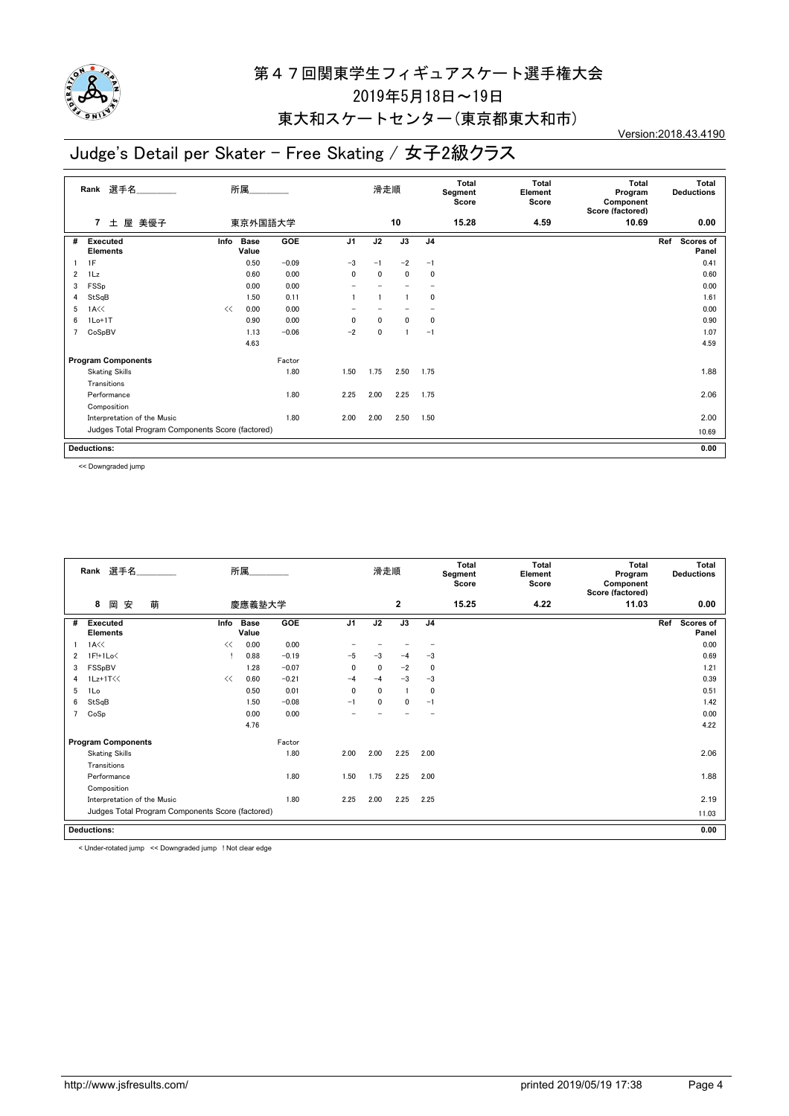

#### 東大和スケートセンター(東京都東大和市)

## Judge's Detail per Skater - Free Skating / 女子2級クラス

Version:2018.43.4190

|                | Rank 選手名                                         |      | 所属                   |            |                | 滑走順  |              |                | Total<br>Segment<br>Score | <b>Total</b><br>Element<br>Score | <b>Total</b><br>Program<br>Component<br>Score (factored) |     | Total<br><b>Deductions</b> |
|----------------|--------------------------------------------------|------|----------------------|------------|----------------|------|--------------|----------------|---------------------------|----------------------------------|----------------------------------------------------------|-----|----------------------------|
|                | 屋 美優子<br>$\overline{7}$<br>土                     |      | 東京外国語大学              |            |                |      | 10           |                | 15.28                     | 4.59                             | 10.69                                                    |     | 0.00                       |
| #              | Executed<br><b>Elements</b>                      | Info | <b>Base</b><br>Value | <b>GOE</b> | J <sub>1</sub> | J2   | J3           | J <sub>4</sub> |                           |                                  |                                                          | Ref | Scores of<br>Panel         |
|                | 1F                                               |      | 0.50                 | $-0.09$    | $-3$           | $-1$ | $-2$         | $-1$           |                           |                                  |                                                          |     | 0.41                       |
| $\overline{2}$ | 1Lz                                              |      | 0.60                 | 0.00       | 0              | 0    | $\mathbf{0}$ | 0              |                           |                                  |                                                          |     | 0.60                       |
| 3              | FSSp                                             |      | 0.00                 | 0.00       |                |      |              |                |                           |                                  |                                                          |     | 0.00                       |
| 4              | StSqB                                            |      | 1.50                 | 0.11       |                |      |              | 0              |                           |                                  |                                                          |     | 1.61                       |
| 5              | $1A<\langle$                                     | <<   | 0.00                 | 0.00       |                |      |              |                |                           |                                  |                                                          |     | 0.00                       |
| 6              | $1Lo+1T$                                         |      | 0.90                 | 0.00       | 0              | 0    | $\mathbf{0}$ | 0              |                           |                                  |                                                          |     | 0.90                       |
| 7              | CoSpBV                                           |      | 1.13                 | $-0.06$    | $-2$           | 0    |              | $-1$           |                           |                                  |                                                          |     | 1.07                       |
|                |                                                  |      | 4.63                 |            |                |      |              |                |                           |                                  |                                                          |     | 4.59                       |
|                | <b>Program Components</b>                        |      |                      | Factor     |                |      |              |                |                           |                                  |                                                          |     |                            |
|                | <b>Skating Skills</b>                            |      |                      | 1.80       | 1.50           | 1.75 | 2.50         | 1.75           |                           |                                  |                                                          |     | 1.88                       |
|                | Transitions                                      |      |                      |            |                |      |              |                |                           |                                  |                                                          |     |                            |
|                | Performance                                      |      |                      | 1.80       | 2.25           | 2.00 | 2.25         | 1.75           |                           |                                  |                                                          |     | 2.06                       |
|                | Composition                                      |      |                      |            |                |      |              |                |                           |                                  |                                                          |     |                            |
|                | Interpretation of the Music                      |      |                      | 1.80       | 2.00           | 2.00 | 2.50         | 1.50           |                           |                                  |                                                          |     | 2.00                       |
|                | Judges Total Program Components Score (factored) |      |                      |            |                |      |              |                |                           |                                  |                                                          |     | 10.69                      |
|                | <b>Deductions:</b>                               |      |                      |            |                |      |              |                |                           |                                  |                                                          |     | 0.00                       |

<< Downgraded jump

|                | Rank 選手名                                         |      | 所属                   |         |                | 滑走順          |              |                | <b>Total</b><br>Segment<br>Score | <b>Total</b><br>Element<br>Score | <b>Total</b><br>Program<br>Component<br>Score (factored) | Total<br><b>Deductions</b> |
|----------------|--------------------------------------------------|------|----------------------|---------|----------------|--------------|--------------|----------------|----------------------------------|----------------------------------|----------------------------------------------------------|----------------------------|
|                | 萌<br>8<br>安<br>岡                                 |      | 慶應義塾大学               |         |                |              | $\mathbf{2}$ |                | 15.25                            | 4.22                             | 11.03                                                    | 0.00                       |
| #              | <b>Executed</b><br><b>Elements</b>               | Info | <b>Base</b><br>Value | GOE     | J <sub>1</sub> | J2           | J3           | J <sub>4</sub> |                                  |                                  |                                                          | Scores of<br>Ref<br>Panel  |
|                | 1A<<                                             | <<   | 0.00                 | 0.00    |                |              |              |                |                                  |                                  |                                                          | 0.00                       |
| 2              | 1F!+1Lo<                                         |      | 0.88                 | $-0.19$ | $-5$           | $-3$         | $-4$         | -3             |                                  |                                  |                                                          | 0.69                       |
| 3              | FSSpBV                                           |      | 1.28                 | $-0.07$ | $\mathbf{0}$   | $\mathbf{0}$ | $-2$         | 0              |                                  |                                  |                                                          | 1.21                       |
| 4              | 1Lz+1T<<                                         | <<   | 0.60                 | $-0.21$ | $-4$           | $-4$         | $-3$         | $-3$           |                                  |                                  |                                                          | 0.39                       |
| 5              | 1Lo                                              |      | 0.50                 | 0.01    | $\mathbf{0}$   | $\mathbf{0}$ | -1           | 0              |                                  |                                  |                                                          | 0.51                       |
| 6              | StSqB                                            |      | 1.50                 | $-0.08$ | $-1$           | 0            | $\mathbf{0}$ | $-1$           |                                  |                                  |                                                          | 1.42                       |
| $\overline{7}$ | CoSp                                             |      | 0.00                 | 0.00    |                |              |              |                |                                  |                                  |                                                          | 0.00                       |
|                |                                                  |      | 4.76                 |         |                |              |              |                |                                  |                                  |                                                          | 4.22                       |
|                | <b>Program Components</b>                        |      |                      | Factor  |                |              |              |                |                                  |                                  |                                                          |                            |
|                | <b>Skating Skills</b>                            |      |                      | 1.80    | 2.00           | 2.00         | 2.25         | 2.00           |                                  |                                  |                                                          | 2.06                       |
|                | Transitions                                      |      |                      |         |                |              |              |                |                                  |                                  |                                                          |                            |
|                | Performance                                      |      |                      | 1.80    | 1.50           | 1.75         | 2.25         | 2.00           |                                  |                                  |                                                          | 1.88                       |
|                | Composition                                      |      |                      |         |                |              |              |                |                                  |                                  |                                                          |                            |
|                | Interpretation of the Music                      |      |                      | 1.80    | 2.25           | 2.00         | 2.25         | 2.25           |                                  |                                  |                                                          | 2.19                       |
|                | Judges Total Program Components Score (factored) |      |                      |         |                |              |              |                |                                  |                                  | 11.03                                                    |                            |
|                | <b>Deductions:</b>                               |      |                      |         |                |              |              |                |                                  |                                  |                                                          | 0.00                       |

< Under-rotated jump << Downgraded jump ! Not clear edge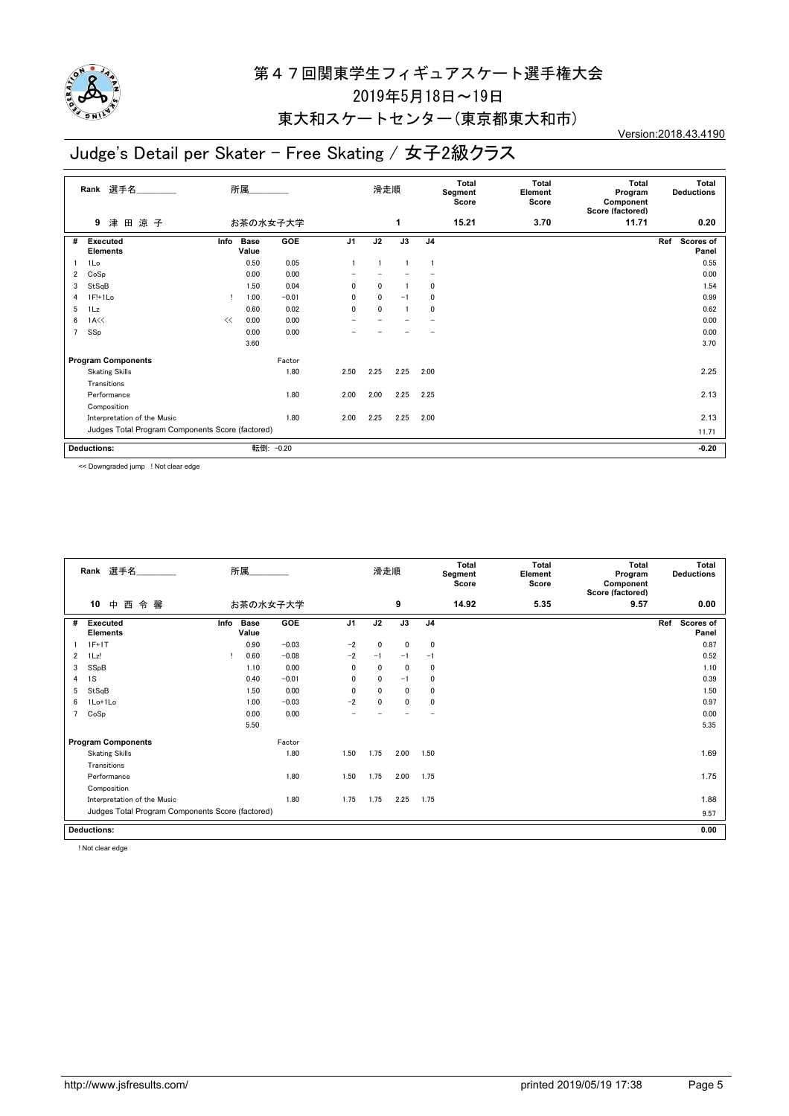

#### 東大和スケートセンター(東京都東大和市)

## Judge's Detail per Skater - Free Skating / 女子2級クラス

Version:2018.43.4190

|                | 選手名<br>Rank                                      |      | 所属                   |            |                | 滑走順          |      |                | <b>Total</b><br>Segment<br>Score | <b>Total</b><br>Element<br>Score | Total<br>Program<br>Component<br>Score (factored) | Total<br><b>Deductions</b> |
|----------------|--------------------------------------------------|------|----------------------|------------|----------------|--------------|------|----------------|----------------------------------|----------------------------------|---------------------------------------------------|----------------------------|
|                | 津田涼子<br>9                                        |      |                      | お茶の水女子大学   |                |              | 1    |                | 15.21                            | 3.70                             | 11.71                                             | 0.20                       |
| #              | <b>Executed</b><br><b>Elements</b>               | Info | <b>Base</b><br>Value | <b>GOE</b> | J <sub>1</sub> | J2           | J3   | J <sub>4</sub> |                                  |                                  |                                                   | Ref<br>Scores of<br>Panel  |
|                | 1Lo                                              |      | 0.50                 | 0.05       |                | 1            |      |                |                                  |                                  |                                                   | 0.55                       |
| 2              | CoSp                                             |      | 0.00                 | 0.00       |                |              |      |                |                                  |                                  |                                                   | 0.00                       |
| 3              | StSqB                                            |      | 1.50                 | 0.04       | 0              | $\mathbf{0}$ |      | 0              |                                  |                                  |                                                   | 1.54                       |
| 4              | $1F!+1Lo$                                        |      | 1.00                 | $-0.01$    | $\Omega$       | 0            | $-1$ | $\mathbf{0}$   |                                  |                                  |                                                   | 0.99                       |
| 5              | 1Lz                                              |      | 0.60                 | 0.02       | 0              | 0            |      | $\mathbf{0}$   |                                  |                                  |                                                   | 0.62                       |
| 6              | 1A <                                             | <<   | 0.00                 | 0.00       |                |              |      |                |                                  |                                  |                                                   | 0.00                       |
| $\overline{7}$ | SSp                                              |      | 0.00                 | 0.00       |                |              |      |                |                                  |                                  |                                                   | 0.00                       |
|                |                                                  |      | 3.60                 |            |                |              |      |                |                                  |                                  |                                                   | 3.70                       |
|                | <b>Program Components</b>                        |      |                      | Factor     |                |              |      |                |                                  |                                  |                                                   |                            |
|                | <b>Skating Skills</b>                            |      |                      | 1.80       | 2.50           | 2.25         | 2.25 | 2.00           |                                  |                                  |                                                   | 2.25                       |
|                | Transitions                                      |      |                      |            |                |              |      |                |                                  |                                  |                                                   |                            |
|                | Performance                                      |      |                      | 1.80       | 2.00           | 2.00         | 2.25 | 2.25           |                                  |                                  |                                                   | 2.13                       |
|                | Composition                                      |      |                      |            |                |              |      |                |                                  |                                  |                                                   |                            |
|                | Interpretation of the Music                      | 1.80 | 2.00                 | 2.25       | 2.25           | 2.00         |      |                |                                  | 2.13                             |                                                   |                            |
|                | Judges Total Program Components Score (factored) |      |                      |            |                |              |      |                |                                  |                                  |                                                   | 11.71                      |
|                |                                                  |      |                      |            |                |              |      |                |                                  |                                  |                                                   |                            |
|                | <b>Deductions:</b>                               |      |                      | 転倒: -0.20  |                |              |      |                |                                  |                                  |                                                   | $-0.20$                    |

<< Downgraded jump ! Not clear edge

|                | Rank 選手名                                         |      | 所属                   |          |                | 滑走順          |              |                | <b>Total</b><br>Segment<br>Score | <b>Total</b><br>Element<br>Score | <b>Total</b><br>Program<br>Component<br>Score (factored) | Total<br><b>Deductions</b> |
|----------------|--------------------------------------------------|------|----------------------|----------|----------------|--------------|--------------|----------------|----------------------------------|----------------------------------|----------------------------------------------------------|----------------------------|
|                | 10<br>西<br>令馨<br>中                               |      |                      | お茶の水女子大学 |                |              | 9            |                | 14.92                            | 5.35                             | 9.57                                                     | 0.00                       |
| #              | <b>Executed</b><br><b>Elements</b>               | Info | <b>Base</b><br>Value | GOE      | J <sub>1</sub> | J2           | J3           | J <sub>4</sub> |                                  |                                  |                                                          | Ref<br>Scores of<br>Panel  |
|                | $1F+1T$                                          |      | 0.90                 | $-0.03$  | $-2$           | 0            | $\mathbf 0$  | 0              |                                  |                                  |                                                          | 0.87                       |
| 2              | 1Lz!                                             |      | 0.60                 | $-0.08$  | $-2$           | $-1$         | $-1$         | $-1$           |                                  |                                  |                                                          | 0.52                       |
| 3              | SSpB                                             |      | 1.10                 | 0.00     | $\mathbf{0}$   | $\mathbf{0}$ | $\mathbf{0}$ | 0              |                                  |                                  |                                                          | 1.10                       |
| 4              | 1S                                               |      | 0.40                 | $-0.01$  | 0              | $\mathbf{0}$ | $-1$         | 0              |                                  |                                  |                                                          | 0.39                       |
| 5              | StSqB                                            |      | 1.50                 | 0.00     | $\mathbf{0}$   | $\mathbf{0}$ | $\mathbf{0}$ | 0              |                                  |                                  |                                                          | 1.50                       |
| 6              | 1Lo+1Lo                                          |      | 1.00                 | $-0.03$  | $-2$           | 0            | $\mathbf 0$  | 0              |                                  |                                  |                                                          | 0.97                       |
| $\overline{ }$ | CoSp                                             |      | 0.00                 | 0.00     |                |              |              |                |                                  |                                  |                                                          | 0.00                       |
|                |                                                  |      | 5.50                 |          |                |              |              |                |                                  |                                  |                                                          | 5.35                       |
|                | <b>Program Components</b>                        |      |                      | Factor   |                |              |              |                |                                  |                                  |                                                          |                            |
|                | <b>Skating Skills</b>                            |      |                      | 1.80     | 1.50           | 1.75         | 2.00         | 1.50           |                                  |                                  |                                                          | 1.69                       |
|                | Transitions                                      |      |                      |          |                |              |              |                |                                  |                                  |                                                          |                            |
|                | Performance                                      |      |                      | 1.80     | 1.50           | 1.75         | 2.00         | 1.75           |                                  |                                  |                                                          | 1.75                       |
|                | Composition                                      |      |                      |          |                |              |              |                |                                  |                                  |                                                          |                            |
|                | Interpretation of the Music                      |      |                      | 1.80     | 1.75           | 1.75         | 2.25         | 1.75           |                                  |                                  |                                                          | 1.88                       |
|                | Judges Total Program Components Score (factored) |      |                      |          |                |              |              |                |                                  |                                  |                                                          | 9.57                       |
|                | <b>Deductions:</b>                               |      |                      |          |                |              |              |                |                                  |                                  |                                                          | 0.00                       |

! Not clear edge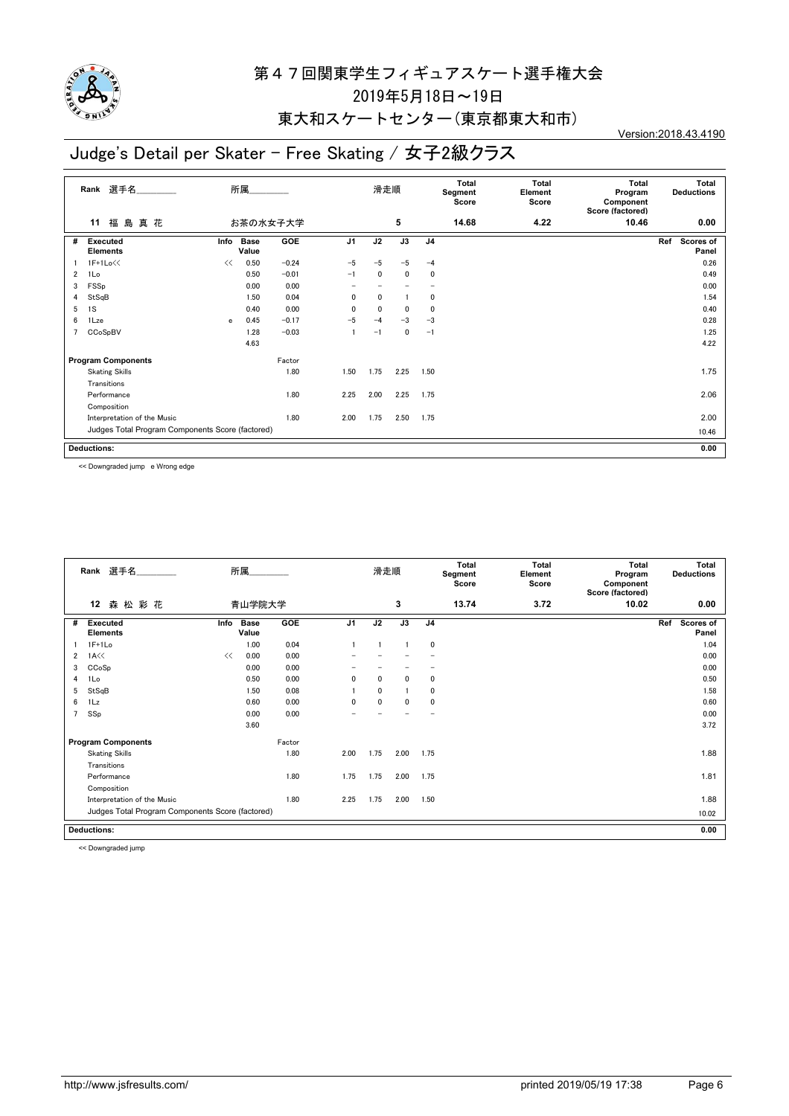

#### 東大和スケートセンター(東京都東大和市)

# Judge's Detail per Skater - Free Skating / 女子2級クラス

Version:2018.43.4190

| 福島真花<br>5<br>14.68<br>お茶の水女子大学<br>4.22<br>10.46<br>11<br>J3<br>GOE<br>J <sub>1</sub><br>J2<br>J <sub>4</sub><br><b>Executed</b><br>Info<br><b>Base</b><br>Ref<br>#<br>Value<br><b>Elements</b><br>0.50<br>$-0.24$<br>$-5$<br>1F+1Lo<<<br>$-5$<br>$-5$<br><<<br>$-4$<br>0.50<br>$-0.01$<br>2<br>1Lo<br>0<br>0<br>0<br>$-1$<br>0.00<br>0.00<br>FSSp<br>3<br>$\overline{\phantom{0}}$<br>StSqB<br>1.50<br>0.04<br>0<br>0<br>0<br>4<br>0.00<br>1S<br>0.40<br>0<br>0<br>0<br>5<br>0<br>$-0.17$<br>$-5$<br>0.45<br>$-3$<br>$-3$<br>6<br>1Lze<br>$-4$<br>$\mathbf{e}$<br>$-0.03$<br>$\overline{7}$<br>CCoSpBV<br>1.28<br>0<br>$\mathbf{1}$<br>$-1$<br>$-1$<br>4.63<br><b>Program Components</b><br>Factor<br>1.80<br>1.50<br>1.75<br>2.25<br>1.50<br><b>Skating Skills</b><br>Transitions<br>1.80<br>2.25<br>2.00<br>2.25<br>1.75<br>Performance<br>Composition<br>1.75<br>Interpretation of the Music<br>1.80<br>2.00<br>2.50<br>1.75<br>Judges Total Program Components Score (factored)<br>10.46 | 選手名<br>Rank | 所属 |  | 滑走順 |  | <b>Total</b><br>Segment<br>Score | <b>Total</b><br>Element<br>Score | Total<br>Program<br>Component<br>Score (factored) | Total<br><b>Deductions</b> |
|----------------------------------------------------------------------------------------------------------------------------------------------------------------------------------------------------------------------------------------------------------------------------------------------------------------------------------------------------------------------------------------------------------------------------------------------------------------------------------------------------------------------------------------------------------------------------------------------------------------------------------------------------------------------------------------------------------------------------------------------------------------------------------------------------------------------------------------------------------------------------------------------------------------------------------------------------------------------------------------------|-------------|----|--|-----|--|----------------------------------|----------------------------------|---------------------------------------------------|----------------------------|
|                                                                                                                                                                                                                                                                                                                                                                                                                                                                                                                                                                                                                                                                                                                                                                                                                                                                                                                                                                                              |             |    |  |     |  |                                  |                                  |                                                   | 0.00                       |
|                                                                                                                                                                                                                                                                                                                                                                                                                                                                                                                                                                                                                                                                                                                                                                                                                                                                                                                                                                                              |             |    |  |     |  |                                  |                                  |                                                   | Scores of<br>Panel         |
|                                                                                                                                                                                                                                                                                                                                                                                                                                                                                                                                                                                                                                                                                                                                                                                                                                                                                                                                                                                              |             |    |  |     |  |                                  |                                  |                                                   | 0.26                       |
|                                                                                                                                                                                                                                                                                                                                                                                                                                                                                                                                                                                                                                                                                                                                                                                                                                                                                                                                                                                              |             |    |  |     |  |                                  |                                  |                                                   | 0.49                       |
|                                                                                                                                                                                                                                                                                                                                                                                                                                                                                                                                                                                                                                                                                                                                                                                                                                                                                                                                                                                              |             |    |  |     |  |                                  |                                  |                                                   | 0.00                       |
|                                                                                                                                                                                                                                                                                                                                                                                                                                                                                                                                                                                                                                                                                                                                                                                                                                                                                                                                                                                              |             |    |  |     |  |                                  |                                  |                                                   | 1.54                       |
|                                                                                                                                                                                                                                                                                                                                                                                                                                                                                                                                                                                                                                                                                                                                                                                                                                                                                                                                                                                              |             |    |  |     |  |                                  |                                  |                                                   | 0.40                       |
|                                                                                                                                                                                                                                                                                                                                                                                                                                                                                                                                                                                                                                                                                                                                                                                                                                                                                                                                                                                              |             |    |  |     |  |                                  |                                  |                                                   | 0.28                       |
|                                                                                                                                                                                                                                                                                                                                                                                                                                                                                                                                                                                                                                                                                                                                                                                                                                                                                                                                                                                              |             |    |  |     |  |                                  |                                  |                                                   | 1.25                       |
|                                                                                                                                                                                                                                                                                                                                                                                                                                                                                                                                                                                                                                                                                                                                                                                                                                                                                                                                                                                              |             |    |  |     |  |                                  |                                  |                                                   | 4.22                       |
|                                                                                                                                                                                                                                                                                                                                                                                                                                                                                                                                                                                                                                                                                                                                                                                                                                                                                                                                                                                              |             |    |  |     |  |                                  |                                  |                                                   |                            |
|                                                                                                                                                                                                                                                                                                                                                                                                                                                                                                                                                                                                                                                                                                                                                                                                                                                                                                                                                                                              |             |    |  |     |  |                                  |                                  |                                                   | 1.75                       |
|                                                                                                                                                                                                                                                                                                                                                                                                                                                                                                                                                                                                                                                                                                                                                                                                                                                                                                                                                                                              |             |    |  |     |  |                                  |                                  |                                                   |                            |
|                                                                                                                                                                                                                                                                                                                                                                                                                                                                                                                                                                                                                                                                                                                                                                                                                                                                                                                                                                                              |             |    |  |     |  |                                  |                                  |                                                   | 2.06                       |
|                                                                                                                                                                                                                                                                                                                                                                                                                                                                                                                                                                                                                                                                                                                                                                                                                                                                                                                                                                                              |             |    |  |     |  |                                  |                                  |                                                   |                            |
|                                                                                                                                                                                                                                                                                                                                                                                                                                                                                                                                                                                                                                                                                                                                                                                                                                                                                                                                                                                              |             |    |  |     |  |                                  |                                  |                                                   | 2.00                       |
|                                                                                                                                                                                                                                                                                                                                                                                                                                                                                                                                                                                                                                                                                                                                                                                                                                                                                                                                                                                              |             |    |  |     |  |                                  |                                  |                                                   |                            |
| <b>Deductions:</b>                                                                                                                                                                                                                                                                                                                                                                                                                                                                                                                                                                                                                                                                                                                                                                                                                                                                                                                                                                           |             |    |  |     |  |                                  |                                  |                                                   | 0.00                       |

<< Downgraded jump e Wrong edge

|   | Rank 選手名                                         |      | 所属                   |        |                | 滑走順          |                |                | <b>Total</b><br>Segment<br>Score | <b>Total</b><br>Element<br>Score | Total<br>Program<br>Component<br>Score (factored) | Total<br><b>Deductions</b> |
|---|--------------------------------------------------|------|----------------------|--------|----------------|--------------|----------------|----------------|----------------------------------|----------------------------------|---------------------------------------------------|----------------------------|
|   | 12<br>森松彩花                                       |      | 青山学院大学               |        |                |              | 3              |                | 13.74                            | 3.72                             | 10.02                                             | 0.00                       |
| # | <b>Executed</b><br><b>Elements</b>               | Info | <b>Base</b><br>Value | GOE    | J <sub>1</sub> | J2           | J3             | J <sub>4</sub> |                                  |                                  |                                                   | Scores of<br>Ref<br>Panel  |
|   | $1F+1Lo$                                         |      | 1.00                 | 0.04   |                | -1           | $\overline{1}$ | $\mathbf 0$    |                                  |                                  |                                                   | 1.04                       |
| 2 | $1A<\langle$                                     | <<   | 0.00                 | 0.00   |                |              |                |                |                                  |                                  |                                                   | 0.00                       |
| 3 | CCoSp                                            |      | 0.00                 | 0.00   |                |              |                |                |                                  |                                  |                                                   | 0.00                       |
| 4 | 1Lo                                              |      | 0.50                 | 0.00   | 0              | 0            | $\mathbf{0}$   | 0              |                                  |                                  |                                                   | 0.50                       |
| 5 | StSqB                                            |      | 1.50                 | 0.08   |                | $\mathbf{0}$ | $\overline{1}$ | 0              |                                  |                                  |                                                   | 1.58                       |
| 6 | 1Lz                                              |      | 0.60                 | 0.00   | $\mathbf{0}$   | $\mathbf{0}$ | $\mathbf{0}$   | 0              |                                  |                                  |                                                   | 0.60                       |
|   | SSp                                              |      | 0.00                 | 0.00   |                |              |                |                |                                  |                                  |                                                   | 0.00                       |
|   |                                                  |      | 3.60                 |        |                |              |                |                |                                  |                                  |                                                   | 3.72                       |
|   | <b>Program Components</b>                        |      |                      | Factor |                |              |                |                |                                  |                                  |                                                   |                            |
|   | <b>Skating Skills</b>                            |      |                      | 1.80   | 2.00           | 1.75         | 2.00           | 1.75           |                                  |                                  |                                                   | 1.88                       |
|   | Transitions                                      |      |                      |        |                |              |                |                |                                  |                                  |                                                   |                            |
|   | Performance                                      |      |                      | 1.80   | 1.75           | 1.75         | 2.00           | 1.75           |                                  |                                  |                                                   | 1.81                       |
|   | Composition                                      |      |                      |        |                |              |                |                |                                  |                                  |                                                   |                            |
|   | Interpretation of the Music                      |      |                      | 1.80   | 2.25           | 1.75         | 2.00           | 1.50           |                                  |                                  |                                                   | 1.88                       |
|   | Judges Total Program Components Score (factored) |      |                      |        |                |              |                |                |                                  |                                  |                                                   | 10.02                      |
|   | <b>Deductions:</b>                               |      |                      |        |                |              |                |                |                                  |                                  |                                                   | 0.00                       |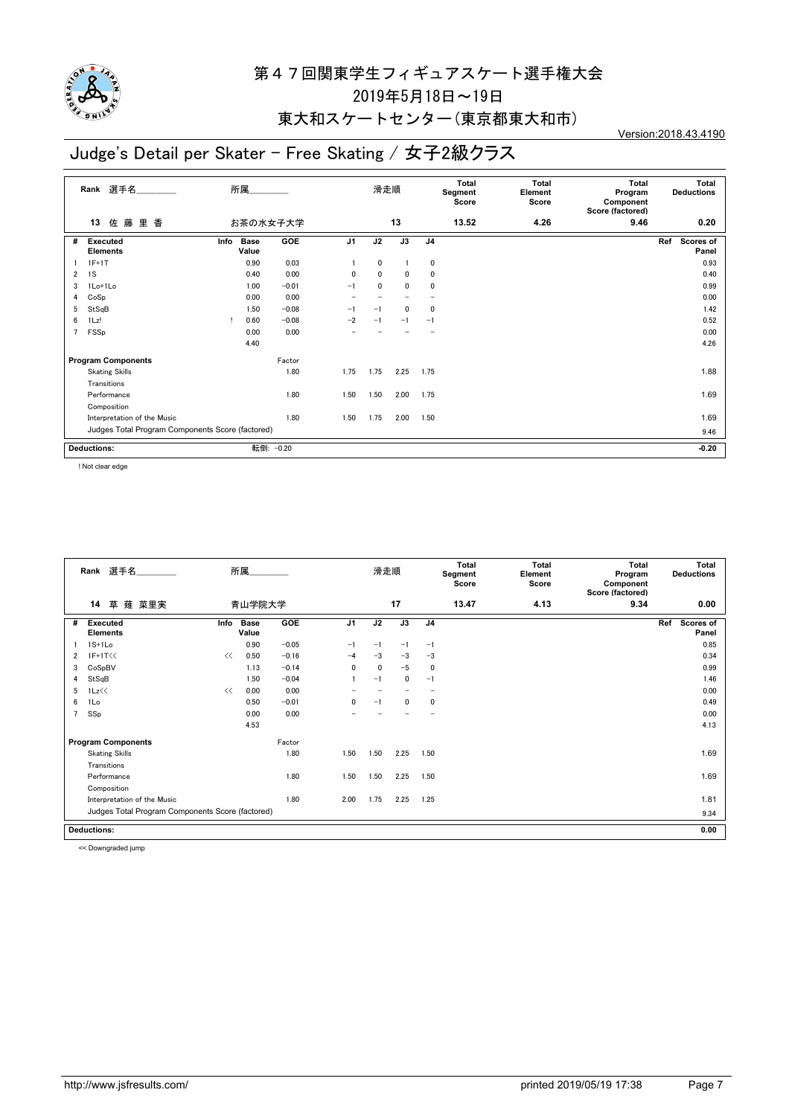

#### 東大和スケートセンター(東京都東大和市)

## Judge's Detail per Skater - Free Skating / 女子2級クラス

Version:2018.43.4190

| Rank 選手名       |                                                  | 所属       |                      |            | 滑走順            |      |      |                | Total<br>Segment<br>Score | <b>Total</b><br>Element<br>Score | Total<br>Program<br>Component<br>Score (factored) | Total<br><b>Deductions</b> |  |
|----------------|--------------------------------------------------|----------|----------------------|------------|----------------|------|------|----------------|---------------------------|----------------------------------|---------------------------------------------------|----------------------------|--|
|                | 佐<br>藤<br>里香<br>13                               | お茶の水女子大学 |                      |            |                |      | 13   |                | 13.52                     | 4.26                             | 9.46                                              | 0.20                       |  |
| #              | <b>Executed</b><br><b>Elements</b>               | Info     | <b>Base</b><br>Value | <b>GOE</b> | J <sub>1</sub> | J2   | J3   | J <sub>4</sub> |                           |                                  |                                                   | Ref<br>Scores of<br>Panel  |  |
|                | $1F+1T$                                          |          | 0.90                 | 0.03       |                | 0    |      | 0              |                           |                                  |                                                   | 0.93                       |  |
| $\overline{2}$ | 1S                                               |          | 0.40                 | 0.00       | 0              | 0    | 0    | 0              |                           |                                  |                                                   | 0.40                       |  |
| 3              | 1Lo+1Lo                                          |          | 1.00                 | $-0.01$    | $-1$           | 0    | 0    | 0              |                           |                                  |                                                   | 0.99                       |  |
| 4              | CoSp                                             |          | 0.00                 | 0.00       |                |      |      |                |                           |                                  |                                                   | 0.00                       |  |
| 5              | StSqB                                            |          | 1.50                 | $-0.08$    | $-1$           | $-1$ | 0    | 0              |                           |                                  |                                                   | 1.42                       |  |
| 6              | 1Lz!                                             | -1       | 0.60                 | $-0.08$    | $-2$           | $-1$ | $-1$ | $-1$           |                           |                                  |                                                   | 0.52                       |  |
| $\overline{7}$ | FSSp                                             |          | 0.00                 | 0.00       |                |      |      |                |                           |                                  |                                                   | 0.00                       |  |
|                |                                                  |          | 4.40                 |            |                |      |      |                |                           |                                  |                                                   | 4.26                       |  |
|                | <b>Program Components</b><br>Factor              |          |                      |            |                |      |      |                |                           |                                  |                                                   |                            |  |
|                | <b>Skating Skills</b>                            |          |                      | 1.80       | 1.75           | 1.75 | 2.25 | 1.75           |                           |                                  |                                                   | 1.88                       |  |
|                | Transitions                                      |          |                      |            |                |      |      |                |                           |                                  |                                                   |                            |  |
|                | Performance                                      |          |                      | 1.80       | 1.50           | 1.50 | 2.00 | 1.75           |                           |                                  |                                                   | 1.69                       |  |
|                | Composition                                      |          |                      |            |                |      |      |                |                           |                                  |                                                   |                            |  |
|                | Interpretation of the Music                      |          |                      | 1.80       | 1.50           | 1.75 | 2.00 | 1.50           |                           |                                  |                                                   | 1.69                       |  |
|                | Judges Total Program Components Score (factored) |          |                      |            |                |      |      |                |                           |                                  |                                                   | 9.46                       |  |
|                | <b>Deductions:</b>                               |          |                      | 転倒: -0.20  |                |      |      |                |                           |                                  |                                                   | $-0.20$                    |  |

! Not clear edge

|                                                  | 選手名<br>Rank                 | 所属     |                      |            |                | 滑走順  |             |                | Total<br>Segment<br>Score | <b>Total</b><br>Element<br>Score | Total<br>Program<br>Component<br>Score (factored) | Total<br><b>Deductions</b> |                    |  |
|--------------------------------------------------|-----------------------------|--------|----------------------|------------|----------------|------|-------------|----------------|---------------------------|----------------------------------|---------------------------------------------------|----------------------------|--------------------|--|
|                                                  | 草 薙 菜里実<br>14               | 青山学院大学 |                      |            |                | 17   |             |                | 13.47                     | 4.13                             | 9.34                                              |                            | 0.00               |  |
| #                                                | Executed<br><b>Elements</b> | Info   | <b>Base</b><br>Value | <b>GOE</b> | J <sub>1</sub> | J2   | J3          | J <sub>4</sub> |                           |                                  |                                                   | Ref                        | Scores of<br>Panel |  |
|                                                  | $1S+1Lo$                    |        | 0.90                 | $-0.05$    | $-1$           | $-1$ | $-1$        | $-1$           |                           |                                  |                                                   |                            | 0.85               |  |
| 2                                                | 1F+1T<<                     | <<     | 0.50                 | $-0.16$    | $-4$           | $-3$ | $-3$        | $-3$           |                           |                                  |                                                   |                            | 0.34               |  |
| 3                                                | CoSpBV                      |        | 1.13                 | $-0.14$    | $\mathbf{0}$   | 0    | $-5$        | $\mathbf 0$    |                           |                                  |                                                   |                            | 0.99               |  |
| 4                                                | StSqB                       |        | 1.50                 | $-0.04$    |                | $-1$ | $\mathbf 0$ | $-1$           |                           |                                  |                                                   |                            | 1.46               |  |
| 5                                                | 1Lz<<                       | <<     | 0.00                 | 0.00       |                |      |             |                |                           |                                  |                                                   |                            | 0.00               |  |
| 6                                                | 1Lo                         |        | 0.50                 | $-0.01$    | 0              | $-1$ | 0           | 0              |                           |                                  |                                                   |                            | 0.49               |  |
| 7                                                | SSp                         |        | 0.00                 | 0.00       |                |      |             |                |                           |                                  |                                                   |                            | 0.00               |  |
|                                                  |                             |        | 4.53                 |            |                |      |             |                |                           |                                  |                                                   |                            | 4.13               |  |
| <b>Program Components</b><br>Factor              |                             |        |                      |            |                |      |             |                |                           |                                  |                                                   |                            |                    |  |
|                                                  | <b>Skating Skills</b>       |        |                      | 1.80       | 1.50           | 1.50 | 2.25        | 1.50           |                           |                                  |                                                   |                            | 1.69               |  |
|                                                  | Transitions                 |        |                      |            |                |      |             |                |                           |                                  |                                                   |                            |                    |  |
|                                                  | Performance                 |        |                      | 1.80       | 1.50           | 1.50 | 2.25        | 1.50           |                           |                                  |                                                   |                            | 1.69               |  |
|                                                  | Composition                 |        |                      |            |                |      |             |                |                           |                                  |                                                   |                            |                    |  |
|                                                  | Interpretation of the Music |        |                      | 1.80       | 2.00           | 1.75 | 2.25        | 1.25           |                           |                                  |                                                   |                            | 1.81               |  |
| Judges Total Program Components Score (factored) |                             |        |                      |            |                |      |             |                |                           |                                  |                                                   |                            | 9.34               |  |
| <b>Deductions:</b>                               |                             |        |                      |            |                |      |             |                |                           |                                  | 0.00                                              |                            |                    |  |